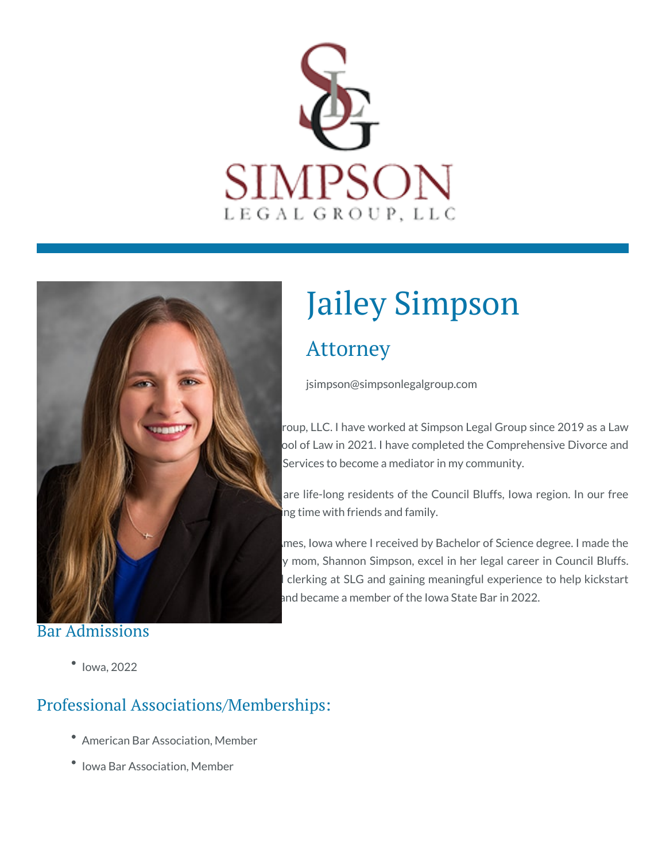



#### Bar Admissions

# Jailey Simpson

## Attorney

jsimpson@simpsonlegalgroup.com

roup, LLC. I have worked at Simpson Legal Group since 2019 as a Law ool of Law in 2021. I have completed the Comprehensive Divorce and Services to become a mediator in my community.

are life-long residents of the Council Bluffs, Iowa region. In our free ng time with friends and family.

mes, Iowa where I received by Bachelor of Science degree. I made the y mom, Shannon Simpson, excel in her legal career in Council Bluffs. clerking at SLG and gaining meaningful experience to help kickstart and became a member of the Iowa State Bar in 2022.

 $\bullet$  lowa, 2022

#### Professional Associations/Memberships:

- American Bar Association, Member
- Iowa Bar Association, Member